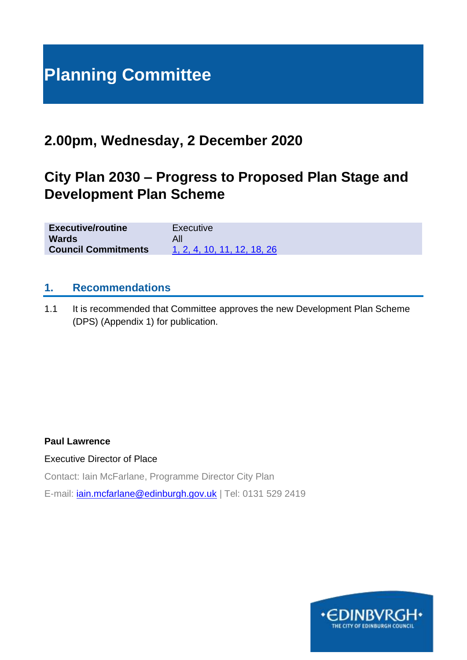# **Planning Committee**

# **2.00pm, Wednesday, 2 December 2020**

# **City Plan 2030 – Progress to Proposed Plan Stage and Development Plan Scheme**

| <b>Executive/routine</b>   | Executive                   |
|----------------------------|-----------------------------|
| <b>Wards</b>               |                             |
| <b>Council Commitments</b> | 1, 2, 4, 10, 11, 12, 18, 26 |

#### **1. Recommendations**

1.1 It is recommended that Committee approves the new Development Plan Scheme (DPS) (Appendix 1) for publication.

#### **Paul Lawrence**

Executive Director of Place

Contact: Iain McFarlane, Programme Director City Plan

E-mail: *[iain.mcfarlane@edinburgh.gov.uk](mailto:iain.mcfarlane@edinburgh.gov.uk)* | Tel: 0131 529 2419

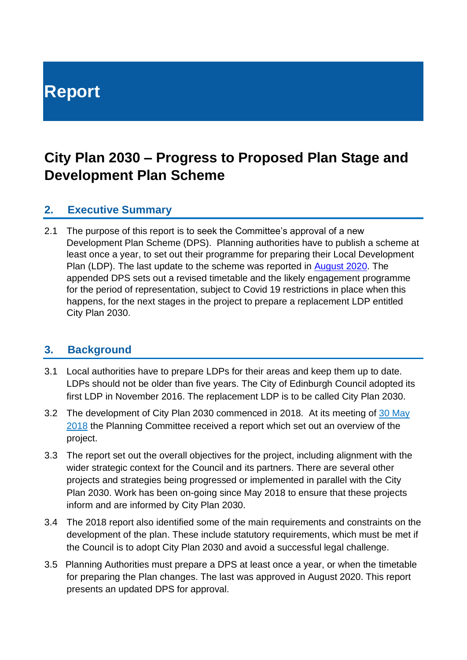# **Report**

# **City Plan 2030 – Progress to Proposed Plan Stage and Development Plan Scheme**

# **2. Executive Summary**

2.1 The purpose of this report is to seek the Committee's approval of a new Development Plan Scheme (DPS). Planning authorities have to publish a scheme at least once a year, to set out their programme for preparing their Local Development Plan (LDP). The last update to the scheme was reported in [August 2020.](https://democracy.edinburgh.gov.uk/documents/s25106/6.1%20Choices%20for%20City%20Plan%20Update%202030.pdf) The appended DPS sets out a revised timetable and the likely engagement programme for the period of representation, subject to Covid 19 restrictions in place when this happens, for the next stages in the project to prepare a replacement LDP entitled City Plan 2030.

## **3. Background**

- 3.1 Local authorities have to prepare LDPs for their areas and keep them up to date. LDPs should not be older than five years. The City of Edinburgh Council adopted its first LDP in November 2016. The replacement LDP is to be called City Plan 2030.
- 3.2 The development of City Plan 2030 commenced in 2018. At its meeting of [30 May](http://www.edinburgh.gov.uk/download/meetings/id/57186/item_91_-_edinburgh_local_development_plan_2_project_overview)  [2018](http://www.edinburgh.gov.uk/download/meetings/id/57186/item_91_-_edinburgh_local_development_plan_2_project_overview) the Planning Committee received a report which set out an overview of the project.
- 3.3 The report set out the overall objectives for the project, including alignment with the wider strategic context for the Council and its partners. There are several other projects and strategies being progressed or implemented in parallel with the City Plan 2030. Work has been on-going since May 2018 to ensure that these projects inform and are informed by City Plan 2030.
- 3.4 The 2018 report also identified some of the main requirements and constraints on the development of the plan. These include statutory requirements, which must be met if the Council is to adopt City Plan 2030 and avoid a successful legal challenge.
- 3.5 Planning Authorities must prepare a DPS at least once a year, or when the timetable for preparing the Plan changes. The last was approved in August 2020. This report presents an updated DPS for approval.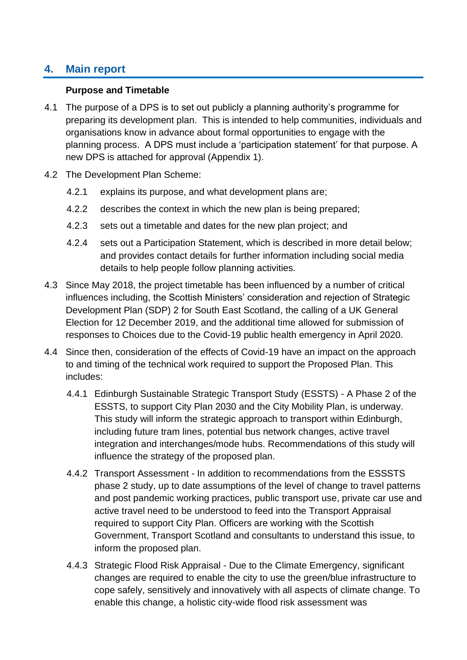# **4. Main report**

#### **Purpose and Timetable**

- 4.1 The purpose of a DPS is to set out publicly a planning authority's programme for preparing its development plan. This is intended to help communities, individuals and organisations know in advance about formal opportunities to engage with the planning process. A DPS must include a 'participation statement' for that purpose. A new DPS is attached for approval (Appendix 1).
- 4.2 The Development Plan Scheme:
	- 4.2.1 explains its purpose, and what development plans are;
	- 4.2.2 describes the context in which the new plan is being prepared;
	- 4.2.3 sets out a timetable and dates for the new plan project; and
	- 4.2.4 sets out a Participation Statement, which is described in more detail below; and provides contact details for further information including social media details to help people follow planning activities.
- 4.3 Since May 2018, the project timetable has been influenced by a number of critical influences including, the Scottish Ministers' consideration and rejection of Strategic Development Plan (SDP) 2 for South East Scotland, the calling of a UK General Election for 12 December 2019, and the additional time allowed for submission of responses to Choices due to the Covid-19 public health emergency in April 2020.
- 4.4 Since then, consideration of the effects of Covid-19 have an impact on the approach to and timing of the technical work required to support the Proposed Plan. This includes:
	- 4.4.1 Edinburgh Sustainable Strategic Transport Study (ESSTS) A Phase 2 of the ESSTS, to support City Plan 2030 and the City Mobility Plan, is underway. This study will inform the strategic approach to transport within Edinburgh, including future tram lines, potential bus network changes, active travel integration and interchanges/mode hubs. Recommendations of this study will influence the strategy of the proposed plan.
	- 4.4.2 Transport Assessment In addition to recommendations from the ESSSTS phase 2 study, up to date assumptions of the level of change to travel patterns and post pandemic working practices, public transport use, private car use and active travel need to be understood to feed into the Transport Appraisal required to support City Plan. Officers are working with the Scottish Government, Transport Scotland and consultants to understand this issue, to inform the proposed plan.
	- 4.4.3 Strategic Flood Risk Appraisal Due to the Climate Emergency, significant changes are required to enable the city to use the green/blue infrastructure to cope safely, sensitively and innovatively with all aspects of climate change. To enable this change, a holistic city-wide flood risk assessment was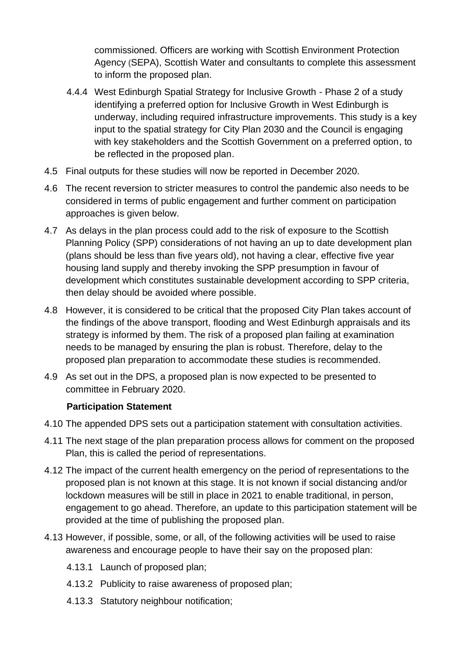commissioned. Officers are working with Scottish Environment Protection Agency **(**SEPA), Scottish Water and consultants to complete this assessment to inform the proposed plan.

- 4.4.4 West Edinburgh Spatial Strategy for Inclusive Growth Phase 2 of a study identifying a preferred option for Inclusive Growth in West Edinburgh is underway, including required infrastructure improvements. This study is a key input to the spatial strategy for City Plan 2030 and the Council is engaging with key stakeholders and the Scottish Government on a preferred option, to be reflected in the proposed plan.
- 4.5 Final outputs for these studies will now be reported in December 2020.
- 4.6 The recent reversion to stricter measures to control the pandemic also needs to be considered in terms of public engagement and further comment on participation approaches is given below.
- 4.7 As delays in the plan process could add to the risk of exposure to the Scottish Planning Policy (SPP) considerations of not having an up to date development plan (plans should be less than five years old), not having a clear, effective five year housing land supply and thereby invoking the SPP presumption in favour of development which constitutes sustainable development according to SPP criteria, then delay should be avoided where possible.
- 4.8 However, it is considered to be critical that the proposed City Plan takes account of the findings of the above transport, flooding and West Edinburgh appraisals and its strategy is informed by them. The risk of a proposed plan failing at examination needs to be managed by ensuring the plan is robust. Therefore, delay to the proposed plan preparation to accommodate these studies is recommended.
- 4.9 As set out in the DPS, a proposed plan is now expected to be presented to committee in February 2020.

#### **Participation Statement**

- 4.10 The appended DPS sets out a participation statement with consultation activities.
- 4.11 The next stage of the plan preparation process allows for comment on the proposed Plan, this is called the period of representations.
- 4.12 The impact of the current health emergency on the period of representations to the proposed plan is not known at this stage. It is not known if social distancing and/or lockdown measures will be still in place in 2021 to enable traditional, in person, engagement to go ahead. Therefore, an update to this participation statement will be provided at the time of publishing the proposed plan.
- 4.13 However, if possible, some, or all, of the following activities will be used to raise awareness and encourage people to have their say on the proposed plan:
	- 4.13.1 Launch of proposed plan;
	- 4.13.2 Publicity to raise awareness of proposed plan;
	- 4.13.3 Statutory neighbour notification;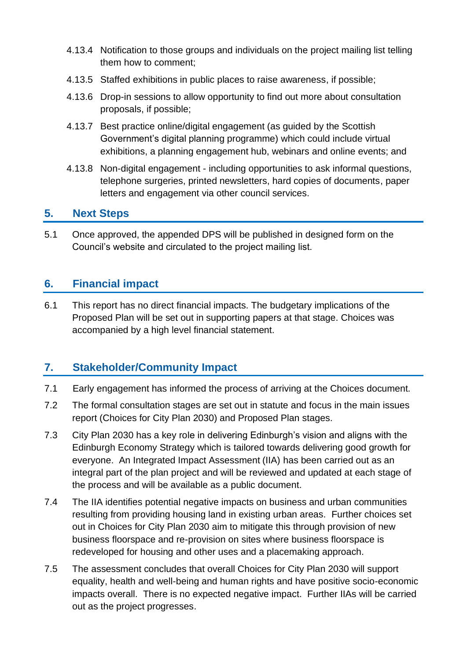- 4.13.4 Notification to those groups and individuals on the project mailing list telling them how to comment;
- 4.13.5 Staffed exhibitions in public places to raise awareness, if possible;
- 4.13.6 Drop-in sessions to allow opportunity to find out more about consultation proposals, if possible;
- 4.13.7 Best practice online/digital engagement (as guided by the Scottish Government's digital planning programme) which could include virtual exhibitions, a planning engagement hub, webinars and online events; and
- 4.13.8 Non-digital engagement including opportunities to ask informal questions, telephone surgeries, printed newsletters, hard copies of documents, paper letters and engagement via other council services.

## **5. Next Steps**

5.1 Once approved, the appended DPS will be published in designed form on the Council's website and circulated to the project mailing list.

# **6. Financial impact**

6.1 This report has no direct financial impacts. The budgetary implications of the Proposed Plan will be set out in supporting papers at that stage. Choices was accompanied by a high level financial statement.

# **7. Stakeholder/Community Impact**

- 7.1 Early engagement has informed the process of arriving at the Choices document.
- 7.2 The formal consultation stages are set out in statute and focus in the main issues report (Choices for City Plan 2030) and Proposed Plan stages.
- 7.3 City Plan 2030 has a key role in delivering Edinburgh's vision and aligns with the Edinburgh Economy Strategy which is tailored towards delivering good growth for everyone. An Integrated Impact Assessment (IIA) has been carried out as an integral part of the plan project and will be reviewed and updated at each stage of the process and will be available as a public document.
- 7.4 The IIA identifies potential negative impacts on business and urban communities resulting from providing housing land in existing urban areas. Further choices set out in Choices for City Plan 2030 aim to mitigate this through provision of new business floorspace and re-provision on sites where business floorspace is redeveloped for housing and other uses and a placemaking approach.
- 7.5 The assessment concludes that overall Choices for City Plan 2030 will support equality, health and well-being and human rights and have positive socio-economic impacts overall. There is no expected negative impact. Further IIAs will be carried out as the project progresses.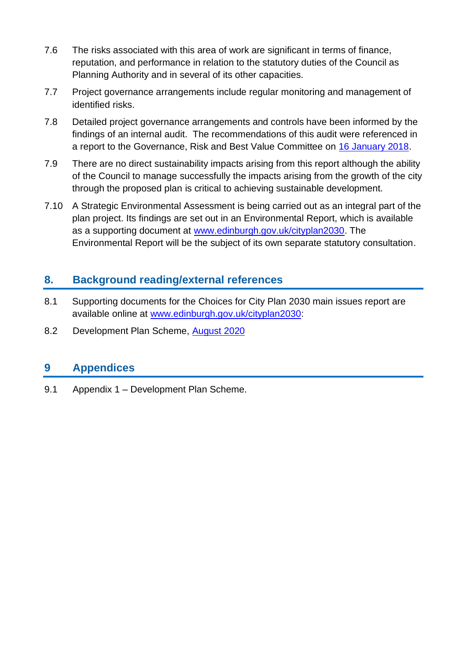- 7.6 The risks associated with this area of work are significant in terms of finance, reputation, and performance in relation to the statutory duties of the Council as Planning Authority and in several of its other capacities.
- 7.7 Project governance arrangements include regular monitoring and management of identified risks.
- 7.8 Detailed project governance arrangements and controls have been informed by the findings of an internal audit. The recommendations of this audit were referenced in a report to the Governance, Risk and Best Value Committee on [16 January 2018.](http://www.edinburgh.gov.uk/download/meetings/id/55768/item_72_-_internal_audit_quarterly_update_report_-_quarter_2_1_july-30_september_2017)
- 7.9 There are no direct sustainability impacts arising from this report although the ability of the Council to manage successfully the impacts arising from the growth of the city through the proposed plan is critical to achieving sustainable development.
- 7.10 A Strategic Environmental Assessment is being carried out as an integral part of the plan project. Its findings are set out in an Environmental Report, which is available as a supporting document at [www.edinburgh.gov.uk/cityplan2030.](http://www.edinburgh.gov.uk/cityplan2030) The Environmental Report will be the subject of its own separate statutory consultation.

# **8. Background reading/external references**

- 8.1 Supporting documents for the Choices for City Plan 2030 main issues report are available online at [www.edinburgh.gov.uk/cityplan2030:](http://www.edinburgh.gov.uk/cityplan2030)
- 8.2 Development Plan Scheme, [August 2020](https://www.edinburgh.gov.uk/downloads/file/27971/appendix-2-development-plan-scheme-august-2020)

## **9 Appendices**

9.1 Appendix 1 – Development Plan Scheme.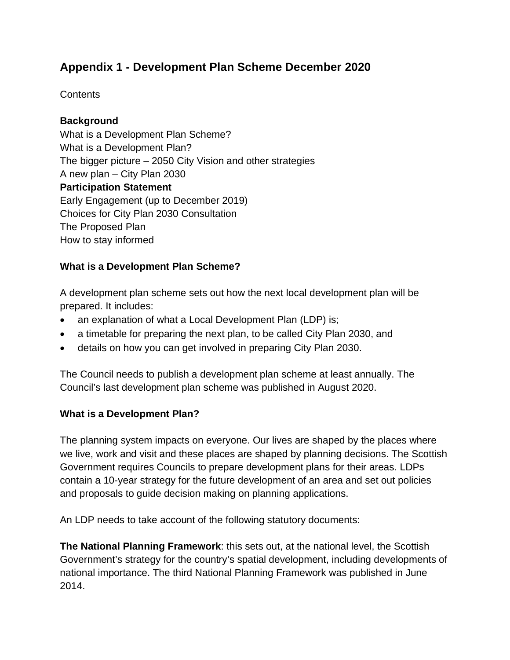# **Appendix 1 - Development Plan Scheme December 2020**

**Contents** 

#### **Background**

What is a Development Plan Scheme? What is a Development Plan? The bigger picture – 2050 City Vision and other strategies A new plan – City Plan 2030 **Participation Statement**  Early Engagement (up to December 2019) Choices for City Plan 2030 Consultation The Proposed Plan How to stay informed

#### **What is a Development Plan Scheme?**

A development plan scheme sets out how the next local development plan will be prepared. It includes:

- an explanation of what a Local Development Plan (LDP) is;
- a timetable for preparing the next plan, to be called City Plan 2030, and
- details on how you can get involved in preparing City Plan 2030.

The Council needs to publish a development plan scheme at least annually. The Council's last development plan scheme was published in August 2020.

#### **What is a Development Plan?**

The planning system impacts on everyone. Our lives are shaped by the places where we live, work and visit and these places are shaped by planning decisions. The Scottish Government requires Councils to prepare development plans for their areas. LDPs contain a 10-year strategy for the future development of an area and set out policies and proposals to guide decision making on planning applications.

An LDP needs to take account of the following statutory documents:

**The National Planning Framework**: this sets out, at the national level, the Scottish Government's strategy for the country's spatial development, including developments of national importance. The third National Planning Framework was published in June 2014.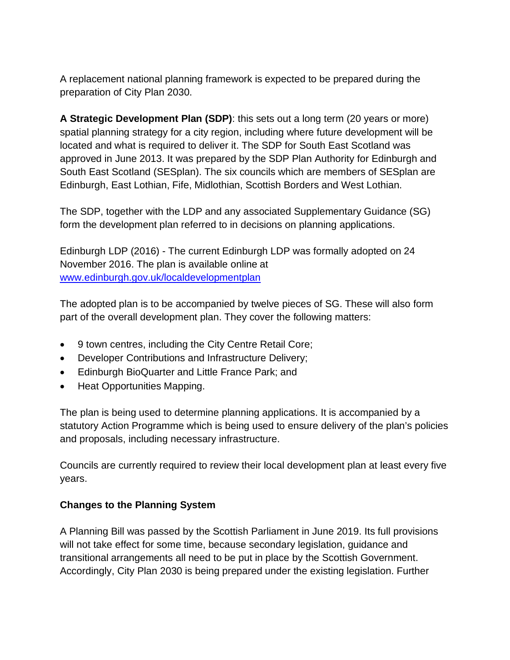A replacement national planning framework is expected to be prepared during the preparation of City Plan 2030.

**A Strategic Development Plan (SDP)**: this sets out a long term (20 years or more) spatial planning strategy for a city region, including where future development will be located and what is required to deliver it. The SDP for South East Scotland was approved in June 2013. It was prepared by the SDP Plan Authority for Edinburgh and South East Scotland (SESplan). The six councils which are members of SESplan are Edinburgh, East Lothian, Fife, Midlothian, Scottish Borders and West Lothian.

The SDP, together with the LDP and any associated Supplementary Guidance (SG) form the development plan referred to in decisions on planning applications.

Edinburgh LDP (2016) - The current Edinburgh LDP was formally adopted on 24 November 2016. The plan is available online at [www.edinburgh.gov.uk/localdevelopmentplan](http://www.edinburgh.gov.uk/localdevelopmentplan)

The adopted plan is to be accompanied by twelve pieces of SG. These will also form part of the overall development plan. They cover the following matters:

- 9 town centres, including the City Centre Retail Core;
- Developer Contributions and Infrastructure Delivery;
- Edinburgh BioQuarter and Little France Park; and
- Heat Opportunities Mapping.

The plan is being used to determine planning applications. It is accompanied by a statutory Action Programme which is being used to ensure delivery of the plan's policies and proposals, including necessary infrastructure.

Councils are currently required to review their local development plan at least every five years.

#### **Changes to the Planning System**

A Planning Bill was passed by the Scottish Parliament in June 2019. Its full provisions will not take effect for some time, because secondary legislation, guidance and transitional arrangements all need to be put in place by the Scottish Government. Accordingly, City Plan 2030 is being prepared under the existing legislation. Further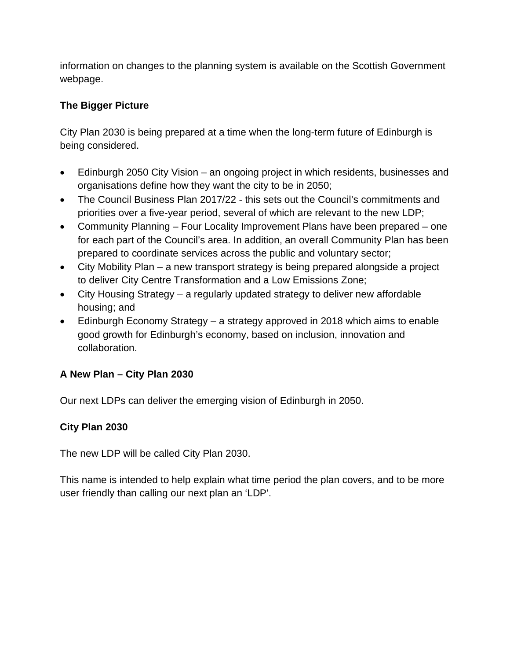information on changes to the planning system is available on the Scottish Government webpage.

#### **The Bigger Picture**

City Plan 2030 is being prepared at a time when the long-term future of Edinburgh is being considered.

- Edinburgh 2050 City Vision an ongoing project in which residents, businesses and organisations define how they want the city to be in 2050;
- The Council Business Plan 2017/22 this sets out the Council's commitments and priorities over a five-year period, several of which are relevant to the new LDP;
- Community Planning Four Locality Improvement Plans have been prepared one for each part of the Council's area. In addition, an overall Community Plan has been prepared to coordinate services across the public and voluntary sector;
- City Mobility Plan a new transport strategy is being prepared alongside a project to deliver City Centre Transformation and a Low Emissions Zone;
- City Housing Strategy a regularly updated strategy to deliver new affordable housing; and
- Edinburgh Economy Strategy a strategy approved in 2018 which aims to enable good growth for Edinburgh's economy, based on inclusion, innovation and collaboration.

#### **A New Plan – City Plan 2030**

Our next LDPs can deliver the emerging vision of Edinburgh in 2050.

#### **City Plan 2030**

The new LDP will be called City Plan 2030.

This name is intended to help explain what time period the plan covers, and to be more user friendly than calling our next plan an 'LDP'.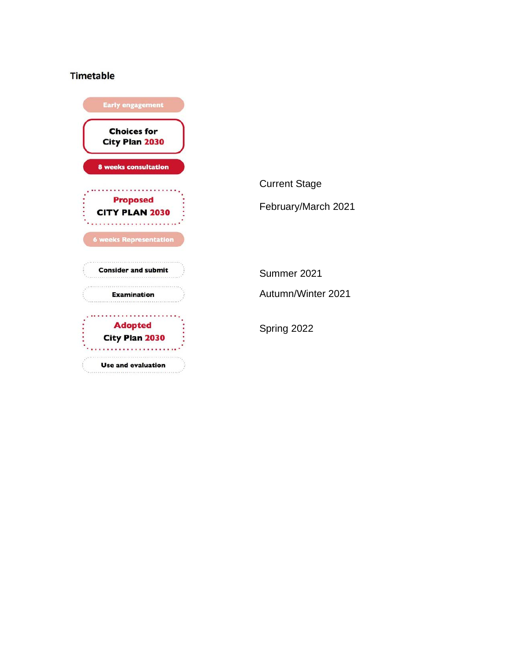### Timetable

| <b>Early engagement</b>                          |  |
|--------------------------------------------------|--|
| <b>Choices for</b><br>City Plan 2030             |  |
| <b>8 weeks consultation</b>                      |  |
| <b>Proposed</b><br><b>CITY PLAN 2030</b>         |  |
| <b>6 weeks Representation</b>                    |  |
| <b>Consider and submit</b><br><b>Examination</b> |  |
| <b>Adopted</b><br>City Plan 2030                 |  |
| <b>Use and evaluation</b>                        |  |

Current Stage February/March 2021 Summer 2021 Autumn/Winter 2021 Spring 2022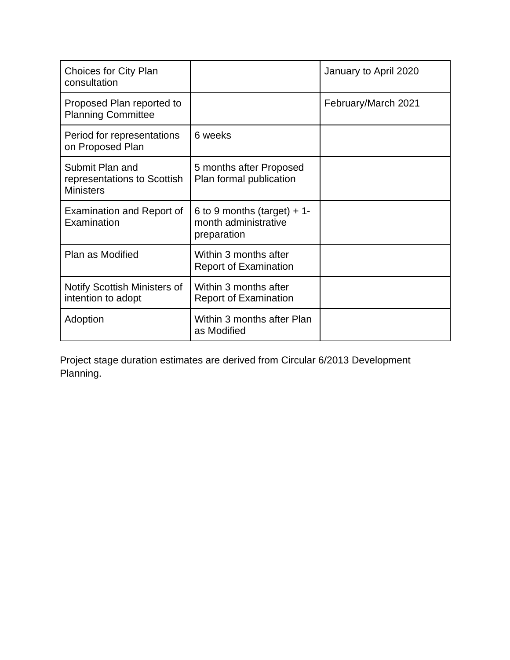| <b>Choices for City Plan</b><br>consultation                       |                                                                    | January to April 2020 |
|--------------------------------------------------------------------|--------------------------------------------------------------------|-----------------------|
| Proposed Plan reported to<br><b>Planning Committee</b>             |                                                                    | February/March 2021   |
| Period for representations<br>on Proposed Plan                     | 6 weeks                                                            |                       |
| Submit Plan and<br>representations to Scottish<br><b>Ministers</b> | 5 months after Proposed<br>Plan formal publication                 |                       |
| Examination and Report of<br>Examination                           | 6 to 9 months (target) + 1-<br>month administrative<br>preparation |                       |
| Plan as Modified                                                   | Within 3 months after<br><b>Report of Examination</b>              |                       |
| Notify Scottish Ministers of<br>intention to adopt                 | Within 3 months after<br><b>Report of Examination</b>              |                       |
| Adoption                                                           | Within 3 months after Plan<br>as Modified                          |                       |

Project stage duration estimates are derived from Circular 6/2013 Development Planning.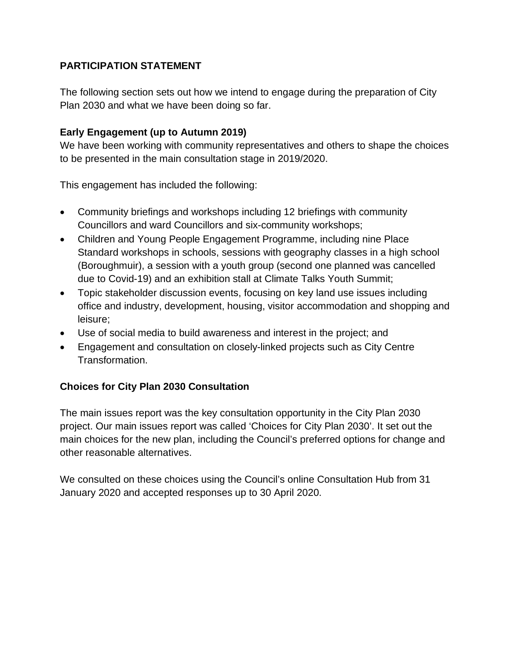#### **PARTICIPATION STATEMENT**

The following section sets out how we intend to engage during the preparation of City Plan 2030 and what we have been doing so far.

#### **Early Engagement (up to Autumn 2019)**

We have been working with community representatives and others to shape the choices to be presented in the main consultation stage in 2019/2020.

This engagement has included the following:

- Community briefings and workshops including 12 briefings with community Councillors and ward Councillors and six-community workshops;
- Children and Young People Engagement Programme, including nine Place Standard workshops in schools, sessions with geography classes in a high school (Boroughmuir), a session with a youth group (second one planned was cancelled due to Covid-19) and an exhibition stall at Climate Talks Youth Summit;
- Topic stakeholder discussion events, focusing on key land use issues including office and industry, development, housing, visitor accommodation and shopping and leisure;
- Use of social media to build awareness and interest in the project; and
- Engagement and consultation on closely-linked projects such as City Centre Transformation.

#### **Choices for City Plan 2030 Consultation**

The main issues report was the key consultation opportunity in the City Plan 2030 project. Our main issues report was called 'Choices for City Plan 2030'. It set out the main choices for the new plan, including the Council's preferred options for change and other reasonable alternatives.

We consulted on these choices using the Council's online Consultation Hub from 31 January 2020 and accepted responses up to 30 April 2020.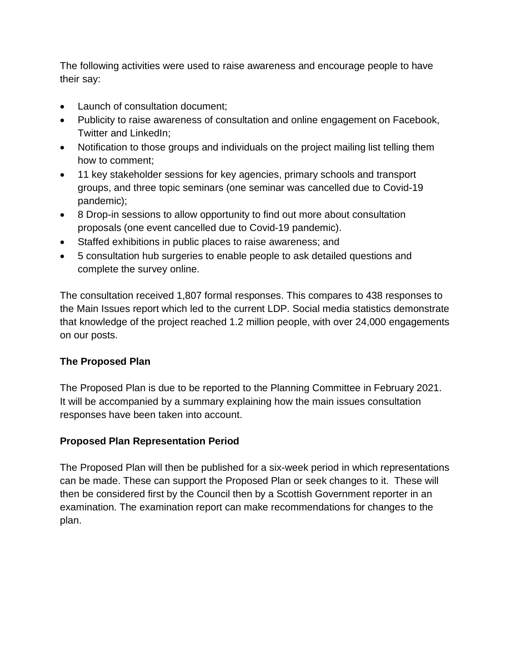The following activities were used to raise awareness and encourage people to have their say:

- Launch of consultation document;
- Publicity to raise awareness of consultation and online engagement on Facebook, Twitter and LinkedIn;
- Notification to those groups and individuals on the project mailing list telling them how to comment;
- 11 key stakeholder sessions for key agencies, primary schools and transport groups, and three topic seminars (one seminar was cancelled due to Covid-19 pandemic);
- 8 Drop-in sessions to allow opportunity to find out more about consultation proposals (one event cancelled due to Covid-19 pandemic).
- Staffed exhibitions in public places to raise awareness; and
- 5 consultation hub surgeries to enable people to ask detailed questions and complete the survey online.

The consultation received 1,807 formal responses. This compares to 438 responses to the Main Issues report which led to the current LDP. Social media statistics demonstrate that knowledge of the project reached 1.2 million people, with over 24,000 engagements on our posts.

#### **The Proposed Plan**

The Proposed Plan is due to be reported to the Planning Committee in February 2021. It will be accompanied by a summary explaining how the main issues consultation responses have been taken into account.

#### **Proposed Plan Representation Period**

The Proposed Plan will then be published for a six-week period in which representations can be made. These can support the Proposed Plan or seek changes to it. These will then be considered first by the Council then by a Scottish Government reporter in an examination. The examination report can make recommendations for changes to the plan.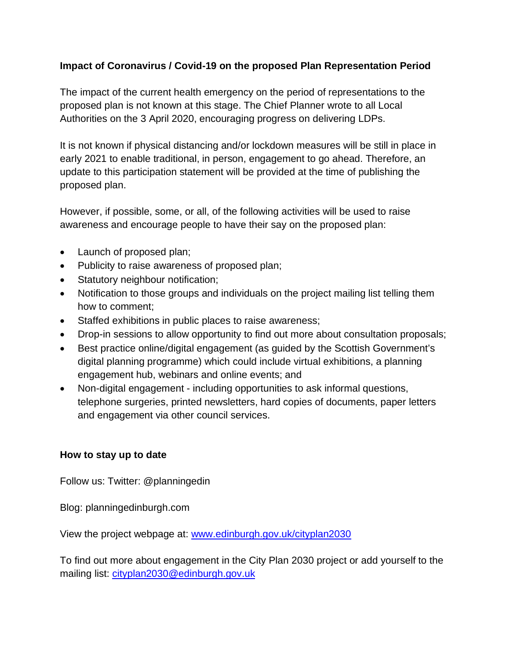#### **Impact of Coronavirus / Covid-19 on the proposed Plan Representation Period**

The impact of the current health emergency on the period of representations to the proposed plan is not known at this stage. The Chief Planner wrote to all Local Authorities on the 3 April 2020, encouraging progress on delivering LDPs.

It is not known if physical distancing and/or lockdown measures will be still in place in early 2021 to enable traditional, in person, engagement to go ahead. Therefore, an update to this participation statement will be provided at the time of publishing the proposed plan.

However, if possible, some, or all, of the following activities will be used to raise awareness and encourage people to have their say on the proposed plan:

- Launch of proposed plan;
- Publicity to raise awareness of proposed plan;
- Statutory neighbour notification;
- Notification to those groups and individuals on the project mailing list telling them how to comment;
- Staffed exhibitions in public places to raise awareness;
- Drop-in sessions to allow opportunity to find out more about consultation proposals;
- Best practice online/digital engagement (as guided by the Scottish Government's digital planning programme) which could include virtual exhibitions, a planning engagement hub, webinars and online events; and
- Non-digital engagement including opportunities to ask informal questions, telephone surgeries, printed newsletters, hard copies of documents, paper letters and engagement via other council services.

#### **How to stay up to date**

Follow us: Twitter: @planningedin

Blog: planningedinburgh.com

View the project webpage at: [www.edinburgh.gov.uk/cityplan2030](http://www.edinburgh.gov.uk/cityplan2030)

To find out more about engagement in the City Plan 2030 project or add yourself to the mailing list: [cityplan2030@edinburgh.gov.uk](mailto:cityplan2030@edinburgh.gov.uk)